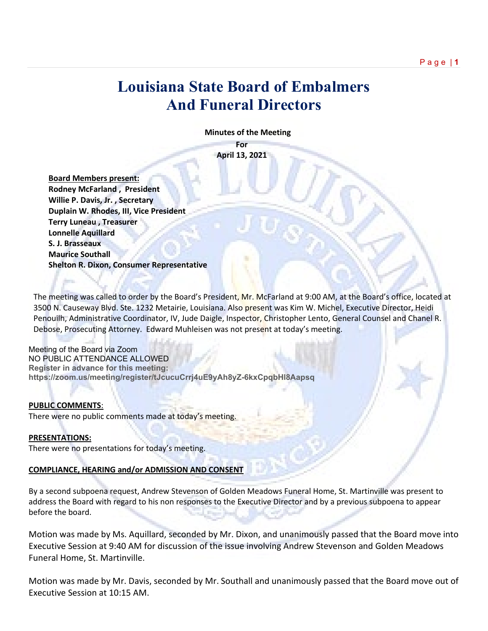## **Louisiana State Board of Embalmers And Funeral Directors**

 **Minutes of the Meeting**

**For April 13, 2021**

 **Board Members present: Rodney McFarland , President Willie P. Davis, Jr. , Secretary Duplain W. Rhodes, III, Vice President Terry Luneau , Treasurer Lonnelle Aquillard S. J. Brasseaux Maurice Southall Shelton R. Dixon, Consumer Representative**

The meeting was called to order by the Board's President, Mr. McFarland at 9:00 AM, at the Board's office, located at 3500 N. Causeway Blvd. Ste. 1232 Metairie, Louisiana. Also present was Kim W. Michel, Executive Director, Heidi Penouilh, Administrative Coordinator, IV, Jude Daigle, Inspector, Christopher Lento, General Counsel and Chanel R. Debose, Prosecuting Attorney. Edward Muhleisen was not present at today's meeting.

Meeting of the Board via Zoom NO PUBLIC ATTENDANCE ALLOWED **Register in advance for this meeting: https://zoom.us/meeting/register/tJcucuCrrj4uE9yAh8yZ-6kxCpqbHl8Aapsq** 

#### **PUBLIC COMMENTS**:

There were no public comments made at today's meeting.

#### **PRESENTATIONS:**

There were no presentations for today's meeting.

#### **COMPLIANCE, HEARING and/or ADMISSION AND CONSENT**

By a second subpoena request, Andrew Stevenson of Golden Meadows Funeral Home, St. Martinville was present to address the Board with regard to his non responses to the Executive Director and by a previous subpoena to appear before the board.

Motion was made by Ms. Aquillard, seconded by Mr. Dixon, and unanimously passed that the Board move into Executive Session at 9:40 AM for discussion of the issue involving Andrew Stevenson and Golden Meadows Funeral Home, St. Martinville.

Motion was made by Mr. Davis, seconded by Mr. Southall and unanimously passed that the Board move out of Executive Session at 10:15 AM.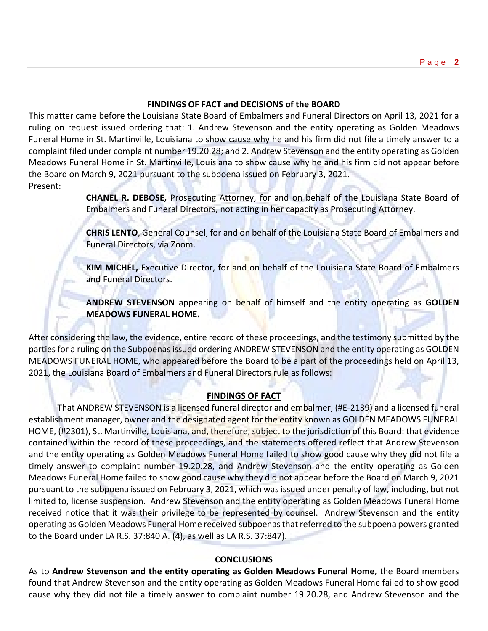#### **FINDINGS OF FACT and DECISIONS of the BOARD**

This matter came before the Louisiana State Board of Embalmers and Funeral Directors on April 13, 2021 for a ruling on request issued ordering that: 1. Andrew Stevenson and the entity operating as Golden Meadows Funeral Home in St. Martinville, Louisiana to show cause why he and his firm did not file a timely answer to a complaint filed under complaint number 19.20.28; and 2. Andrew Stevenson and the entity operating as Golden Meadows Funeral Home in St. Martinville, Louisiana to show cause why he and his firm did not appear before the Board on March 9, 2021 pursuant to the subpoena issued on February 3, 2021. Present:

> **CHANEL R. DEBOSE,** Prosecuting Attorney, for and on behalf of the Louisiana State Board of Embalmers and Funeral Directors, not acting in her capacity as Prosecuting Attorney.

> **CHRIS LENTO**, General Counsel, for and on behalf of the Louisiana State Board of Embalmers and Funeral Directors, via Zoom.

> **KIM MICHEL,** Executive Director, for and on behalf of the Louisiana State Board of Embalmers and Funeral Directors.

> **ANDREW STEVENSON** appearing on behalf of himself and the entity operating as **GOLDEN MEADOWS FUNERAL HOME.**

After considering the law, the evidence, entire record of these proceedings, and the testimony submitted by the parties for a ruling on the Subpoenas issued ordering ANDREW STEVENSON and the entity operating as GOLDEN MEADOWS FUNERAL HOME, who appeared before the Board to be a part of the proceedings held on April 13, 2021, the Louisiana Board of Embalmers and Funeral Directors rule as follows:

#### **FINDINGS OF FACT**

That ANDREW STEVENSON is a licensed funeral director and embalmer, (#E-2139) and a licensed funeral establishment manager, owner and the designated agent for the entity known as GOLDEN MEADOWS FUNERAL HOME, (#2301), St. Martinville, Louisiana, and, therefore, subject to the jurisdiction of this Board: that evidence contained within the record of these proceedings, and the statements offered reflect that Andrew Stevenson and the entity operating as Golden Meadows Funeral Home failed to show good cause why they did not file a timely answer to complaint number 19.20.28, and Andrew Stevenson and the entity operating as Golden Meadows Funeral Home failed to show good cause why they did not appear before the Board on March 9, 2021 pursuant to the subpoena issued on February 3, 2021, which was issued under penalty of law, including, but not limited to, license suspension. Andrew Stevenson and the entity operating as Golden Meadows Funeral Home received notice that it was their privilege to be represented by counsel. Andrew Stevenson and the entity operating as Golden Meadows Funeral Home received subpoenas that referred to the subpoena powers granted to the Board under LA R.S. 37:840 A. (4), as well as LA R.S. 37:847).

#### **CONCLUSIONS**

As to **Andrew Stevenson and the entity operating as Golden Meadows Funeral Home**, the Board members found that Andrew Stevenson and the entity operating as Golden Meadows Funeral Home failed to show good cause why they did not file a timely answer to complaint number 19.20.28, and Andrew Stevenson and the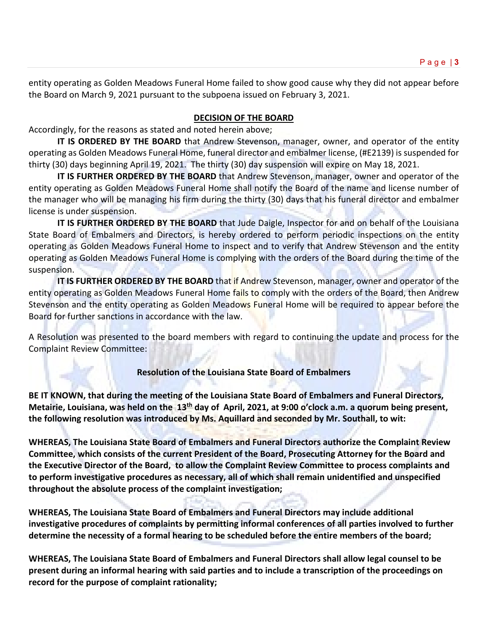entity operating as Golden Meadows Funeral Home failed to show good cause why they did not appear before the Board on March 9, 2021 pursuant to the subpoena issued on February 3, 2021.

#### **DECISION OF THE BOARD**

Accordingly, for the reasons as stated and noted herein above;

**IT IS ORDERED BY THE BOARD** that Andrew Stevenson, manager, owner, and operator of the entity operating as Golden Meadows Funeral Home, funeral director and embalmer license, (#E2139) is suspended for thirty (30) days beginning April 19, 2021. The thirty (30) day suspension will expire on May 18, 2021.

**IT IS FURTHER ORDERED BY THE BOARD** that Andrew Stevenson, manager, owner and operator of the entity operating as Golden Meadows Funeral Home shall notify the Board of the name and license number of the manager who will be managing his firm during the thirty (30) days that his funeral director and embalmer license is under suspension.

**IT IS FURTHER ORDERED BY THE BOARD** that Jude Daigle, Inspector for and on behalf of the Louisiana State Board of Embalmers and Directors, is hereby ordered to perform periodic inspections on the entity operating as Golden Meadows Funeral Home to inspect and to verify that Andrew Stevenson and the entity operating as Golden Meadows Funeral Home is complying with the orders of the Board during the time of the suspension.

**IT IS FURTHER ORDERED BY THE BOARD** that if Andrew Stevenson, manager, owner and operator of the entity operating as Golden Meadows Funeral Home fails to comply with the orders of the Board, then Andrew Stevenson and the entity operating as Golden Meadows Funeral Home will be required to appear before the Board for further sanctions in accordance with the law.

A Resolution was presented to the board members with regard to continuing the update and process for the Complaint Review Committee:

#### **Resolution of the Louisiana State Board of Embalmers**

**BE IT KNOWN, that during the meeting of the Louisiana State Board of Embalmers and Funeral Directors, Metairie, Louisiana, was held on the 13th day of April, 2021, at 9:00 o'clock a.m. a quorum being present, the following resolution was introduced by Ms. Aquillard and seconded by Mr. Southall, to wit:**

**WHEREAS, The Louisiana State Board of Embalmers and Funeral Directors authorize the Complaint Review Committee, which consists of the current President of the Board, Prosecuting Attorney for the Board and the Executive Director of the Board, to allow the Complaint Review Committee to process complaints and to perform investigative procedures as necessary, all of which shall remain unidentified and unspecified throughout the absolute process of the complaint investigation;** 

**WHEREAS, The Louisiana State Board of Embalmers and Funeral Directors may include additional investigative procedures of complaints by permitting informal conferences of all parties involved to further determine the necessity of a formal hearing to be scheduled before the entire members of the board;**

**WHEREAS, The Louisiana State Board of Embalmers and Funeral Directors shall allow legal counsel to be present during an informal hearing with said parties and to include a transcription of the proceedings on record for the purpose of complaint rationality;**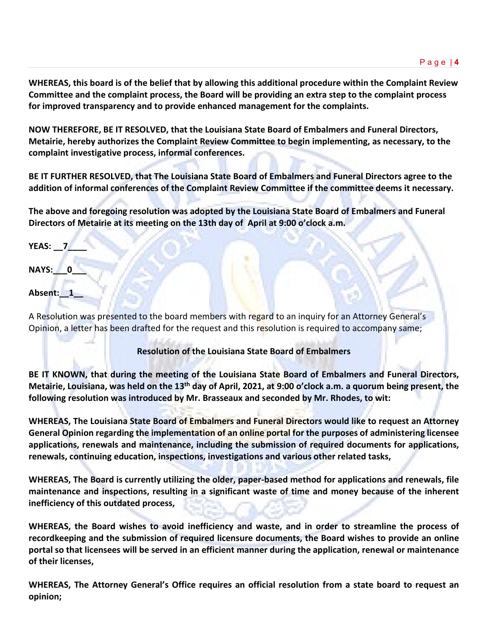**WHEREAS, this board is of the belief that by allowing this additional procedure within the Complaint Review Committee and the complaint process, the Board will be providing an extra step to the complaint process for improved transparency and to provide enhanced management for the complaints.**

**NOW THEREFORE, BE IT RESOLVED, that the Louisiana State Board of Embalmers and Funeral Directors, Metairie, hereby authorizes the Complaint Review Committee to begin implementing, as necessary, to the complaint investigative process, informal conferences.**

**BE IT FURTHER RESOLVED, that The Louisiana State Board of Embalmers and Funeral Directors agree to the addition of informal conferences of the Complaint Review Committee if the committee deems it necessary.**

**The above and foregoing resolution was adopted by the Louisiana State Board of Embalmers and Funeral Directors of Metairie at its meeting on the 13th day of April at 9:00 o'clock a.m.**

**YEAS: \_\_7\_\_\_\_**

**NAYS:\_\_\_0\_\_\_**

### **Absent:\_\_1\_\_**

A Resolution was presented to the board members with regard to an inquiry for an Attorney General's Opinion, a letter has been drafted for the request and this resolution is required to accompany same;

**Resolution of the Louisiana State Board of Embalmers**

**BE IT KNOWN, that during the meeting of the Louisiana State Board of Embalmers and Funeral Directors, Metairie, Louisiana, was held on the 13th day of April, 2021, at 9:00 o'clock a.m. a quorum being present, the following resolution was introduced by Mr. Brasseaux and seconded by Mr. Rhodes, to wit:**

**WHEREAS, The Louisiana State Board of Embalmers and Funeral Directors would like to request an Attorney General Opinion regarding the implementation of an online portal for the purposes of administering licensee applications, renewals and maintenance, including the submission of required documents for applications, renewals, continuing education, inspections, investigations and various other related tasks,**

**WHEREAS, The Board is currently utilizing the older, paper-based method for applications and renewals, file maintenance and inspections, resulting in a significant waste of time and money because of the inherent inefficiency of this outdated process,** 

**WHEREAS, the Board wishes to avoid inefficiency and waste, and in order to streamline the process of recordkeeping and the submission of required licensure documents, the Board wishes to provide an online portal so that licensees will be served in an efficient manner during the application, renewal or maintenance of their licenses,** 

**WHEREAS, The Attorney General's Office requires an official resolution from a state board to request an opinion;**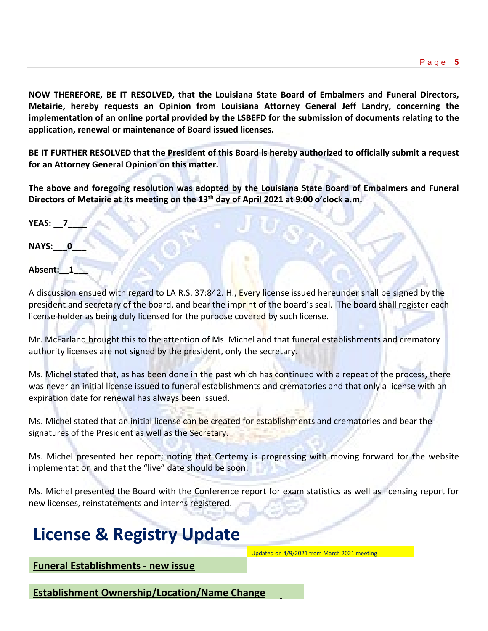**NOW THEREFORE, BE IT RESOLVED, that the Louisiana State Board of Embalmers and Funeral Directors, Metairie, hereby requests an Opinion from Louisiana Attorney General Jeff Landry, concerning the implementation of an online portal provided by the LSBEFD for the submission of documents relating to the application, renewal or maintenance of Board issued licenses.**

**BE IT FURTHER RESOLVED that the President of this Board is hereby authorized to officially submit a request for an Attorney General Opinion on this matter.** 

**The above and foregoing resolution was adopted by the Louisiana State Board of Embalmers and Funeral Directors of Metairie at its meeting on the 13th day of April 2021 at 9:00 o'clock a.m.**

**YEAS: \_\_7\_\_\_\_**

**NAYS:** 0

Absent: 1

A discussion ensued with regard to LA R.S. 37:842. H., Every license issued hereunder shall be signed by the president and secretary of the board, and bear the imprint of the board's seal. The board shall register each license holder as being duly licensed for the purpose covered by such license.

Mr. McFarland brought this to the attention of Ms. Michel and that funeral establishments and crematory authority licenses are not signed by the president, only the secretary.

Ms. Michel stated that, as has been done in the past which has continued with a repeat of the process, there was never an initial license issued to funeral establishments and crematories and that only a license with an expiration date for renewal has always been issued.

Ms. Michel stated that an initial license can be created for establishments and crematories and bear the signatures of the President as well as the Secretary.

Ms. Michel presented her report; noting that Certemy is progressing with moving forward for the website implementation and that the "live" date should be soon.

Ms. Michel presented the Board with the Conference report for exam statistics as well as licensing report for new licenses, reinstatements and interns registered.

# **License & Registry Update**

Updated on 4/9/2021 from March 2021 meeting

**Funeral Establishments - new issue**

**Establishment Ownership/Location/Name Change**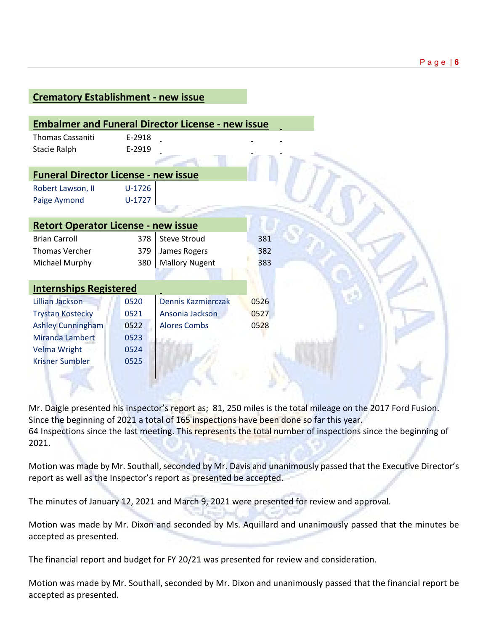| <b>Crematory Establishment - new issue</b>  |          |                                                          |      |  |
|---------------------------------------------|----------|----------------------------------------------------------|------|--|
|                                             |          |                                                          |      |  |
|                                             |          | <b>Embalmer and Funeral Director License - new issue</b> |      |  |
| <b>Thomas Cassaniti</b>                     | E-2918   |                                                          |      |  |
| <b>Stacie Ralph</b>                         | E-2919   |                                                          |      |  |
|                                             |          |                                                          |      |  |
| <b>Funeral Director License - new issue</b> |          |                                                          |      |  |
| Robert Lawson, II                           | $U-1726$ |                                                          |      |  |
| Paige Aymond                                | $U-1727$ |                                                          |      |  |
|                                             |          |                                                          |      |  |
| <b>Retort Operator License - new issue</b>  |          |                                                          |      |  |
| <b>Brian Carroll</b>                        | 378      | <b>Steve Stroud</b>                                      | 381  |  |
| <b>Thomas Vercher</b>                       | 379      | James Rogers                                             | 382  |  |
| Michael Murphy                              | 380      | <b>Mallory Nugent</b>                                    | 383  |  |
|                                             |          |                                                          |      |  |
| <b>Internships Registered</b>               |          |                                                          |      |  |
| <b>Lillian Jackson</b>                      | 0520     | Dennis Kazmierczak                                       | 0526 |  |
| <b>Trystan Kostecky</b>                     | 0521     | Ansonia Jackson                                          | 0527 |  |
| <b>Ashley Cunningham</b>                    | 0522     | <b>Alores Combs</b>                                      | 0528 |  |
| <b>Miranda Lambert</b>                      | 0523     |                                                          |      |  |
| <b>Velma Wright</b>                         | 0524     |                                                          |      |  |
| <b>Krisner Sumbler</b>                      | 0525     |                                                          |      |  |
|                                             |          |                                                          |      |  |
|                                             |          |                                                          |      |  |

Mr. Daigle presented his inspector's report as; 81, 250 miles is the total mileage on the 2017 Ford Fusion. Since the beginning of 2021 a total of 165 inspections have been done so far this year. 64 Inspections since the last meeting. This represents the total number of inspections since the beginning of 2021.

Motion was made by Mr. Southall, seconded by Mr. Davis and unanimously passed that the Executive Director's report as well as the Inspector's report as presented be accepted.

The minutes of January 12, 2021 and March 9, 2021 were presented for review and approval.

Motion was made by Mr. Dixon and seconded by Ms. Aquillard and unanimously passed that the minutes be accepted as presented.

The financial report and budget for FY 20/21 was presented for review and consideration.

Motion was made by Mr. Southall, seconded by Mr. Dixon and unanimously passed that the financial report be accepted as presented.